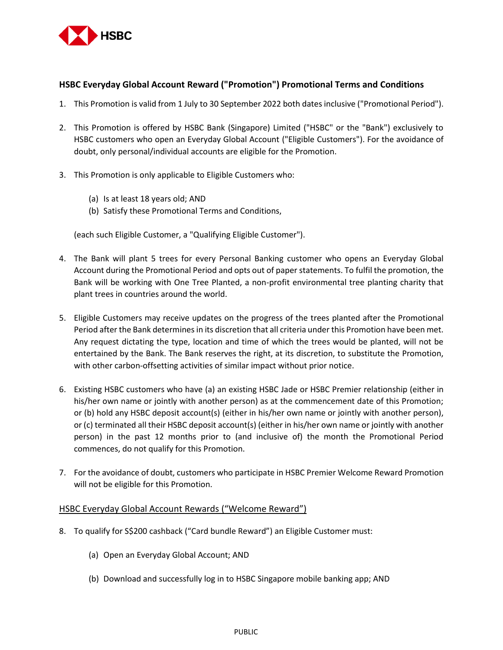

## **HSBC Everyday Global Account Reward ("Promotion") Promotional Terms and Conditions**

- 1. This Promotion is valid from 1 July to 30 September 2022 both dates inclusive ("Promotional Period").
- 2. This Promotion is offered by HSBC Bank (Singapore) Limited ("HSBC" or the "Bank") exclusively to HSBC customers who open an Everyday Global Account ("Eligible Customers"). For the avoidance of doubt, only personal/individual accounts are eligible for the Promotion.
- 3. This Promotion is only applicable to Eligible Customers who:
	- (a) Is at least 18 years old; AND
	- (b) Satisfy these Promotional Terms and Conditions,

(each such Eligible Customer, a "Qualifying Eligible Customer").

- 4. The Bank will plant 5 trees for every Personal Banking customer who opens an Everyday Global Account during the Promotional Period and opts out of paper statements. To fulfil the promotion, the Bank will be working with One Tree Planted, a non-profit environmental tree planting charity that plant trees in countries around the world.
- 5. Eligible Customers may receive updates on the progress of the trees planted after the Promotional Period after the Bank determines in its discretion that all criteria under this Promotion have been met. Any request dictating the type, location and time of which the trees would be planted, will not be entertained by the Bank. The Bank reserves the right, at its discretion, to substitute the Promotion, with other carbon-offsetting activities of similar impact without prior notice.
- 6. Existing HSBC customers who have (a) an existing HSBC Jade or HSBC Premier relationship (either in his/her own name or jointly with another person) as at the commencement date of this Promotion; or (b) hold any HSBC deposit account(s) (either in his/her own name or jointly with another person), or (c) terminated all their HSBC deposit account(s) (either in his/her own name or jointly with another person) in the past 12 months prior to (and inclusive of) the month the Promotional Period commences, do not qualify for this Promotion.
- 7. For the avoidance of doubt, customers who participate in HSBC Premier Welcome Reward Promotion will not be eligible for this Promotion.

## HSBC Everyday Global Account Rewards ("Welcome Reward")

- 8. To qualify for S\$200 cashback ("Card bundle Reward") an Eligible Customer must:
	- (a) Open an Everyday Global Account; AND
	- (b) Download and successfully log in to HSBC Singapore mobile banking app; AND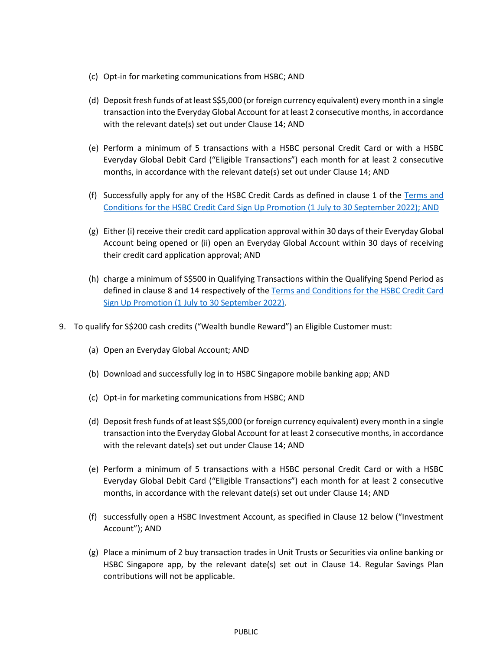- (c) Opt-in for marketing communications from HSBC; AND
- (d) Deposit fresh funds of at least S\$5,000 (or foreign currency equivalent) every month in a single transaction into the Everyday Global Account for at least 2 consecutive months, in accordance with the relevant date(s) set out under Clause 14; AND
- (e) Perform a minimum of 5 transactions with a HSBC personal Credit Card or with a HSBC Everyday Global Debit Card ("Eligible Transactions") each month for at least 2 consecutive months, in accordance with the relevant date(s) set out under Clause 14; AND
- (f) Successfully apply for any of the HSBC Credit Cards as defined in clause 1 of the [Terms and](https://cdn.hsbc.com.sg/content/dam/hsbc/sg/documents/credit-cards/offers/sign-up-terms-and-conditions.pdf)  [Conditions for the HSBC Credit Card Sign Up Promotion \(1 July](https://cdn.hsbc.com.sg/content/dam/hsbc/sg/documents/credit-cards/offers/sign-up-terms-and-conditions.pdf) to 30 September 2022); AND
- (g) Either (i) receive their credit card application approval within 30 days of their Everyday Global Account being opened or (ii) open an Everyday Global Account within 30 days of receiving their credit card application approval; AND
- (h) charge a minimum of S\$500 in Qualifying Transactions within the Qualifying Spend Period as defined in clause 8 and 14 respectively of the [Terms and Conditions for the HSBC Credit Card](https://cdn.hsbc.com.sg/content/dam/hsbc/sg/documents/credit-cards/offers/sign-up-terms-and-conditions.pdf)  [Sign Up Promotion \(1 July](https://cdn.hsbc.com.sg/content/dam/hsbc/sg/documents/credit-cards/offers/sign-up-terms-and-conditions.pdf) to 30 September 2022).
- 9. To qualify for S\$200 cash credits ("Wealth bundle Reward") an Eligible Customer must:
	- (a) Open an Everyday Global Account; AND
	- (b) Download and successfully log in to HSBC Singapore mobile banking app; AND
	- (c) Opt-in for marketing communications from HSBC; AND
	- (d) Deposit fresh funds of at least S\$5,000 (or foreign currency equivalent) every month in a single transaction into the Everyday Global Account for at least 2 consecutive months, in accordance with the relevant date(s) set out under Clause 14; AND
	- (e) Perform a minimum of 5 transactions with a HSBC personal Credit Card or with a HSBC Everyday Global Debit Card ("Eligible Transactions") each month for at least 2 consecutive months, in accordance with the relevant date(s) set out under Clause 14; AND
	- (f) successfully open a HSBC Investment Account, as specified in Clause 12 below ("Investment Account"); AND
	- (g) Place a minimum of 2 buy transaction trades in Unit Trusts or Securities via online banking or HSBC Singapore app, by the relevant date(s) set out in Clause 14. Regular Savings Plan contributions will not be applicable.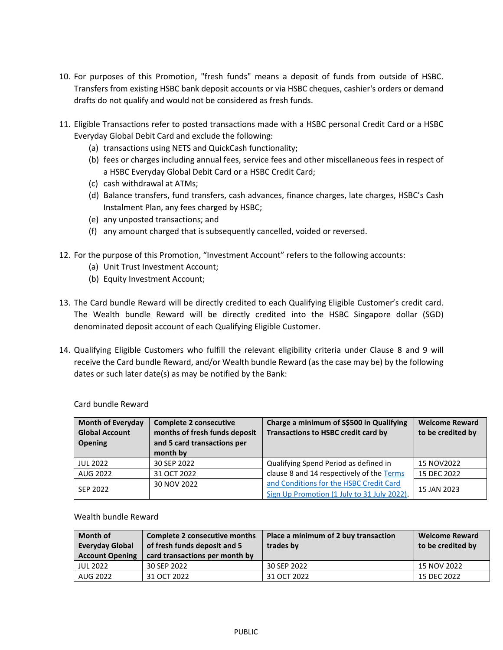- 10. For purposes of this Promotion, "fresh funds" means a deposit of funds from outside of HSBC. Transfers from existing HSBC bank deposit accounts or via HSBC cheques, cashier's orders or demand drafts do not qualify and would not be considered as fresh funds.
- 11. Eligible Transactions refer to posted transactions made with a HSBC personal Credit Card or a HSBC Everyday Global Debit Card and exclude the following:
	- (a) transactions using NETS and QuickCash functionality;
	- (b) fees or charges including annual fees, service fees and other miscellaneous fees in respect of a HSBC Everyday Global Debit Card or a HSBC Credit Card;
	- (c) cash withdrawal at ATMs;
	- (d) Balance transfers, fund transfers, cash advances, finance charges, late charges, HSBC's Cash Instalment Plan, any fees charged by HSBC;
	- (e) any unposted transactions; and
	- (f) any amount charged that is subsequently cancelled, voided or reversed.
- 12. For the purpose of this Promotion, "Investment Account" refers to the following accounts:
	- (a) Unit Trust Investment Account;
	- (b) Equity Investment Account;
- 13. The Card bundle Reward will be directly credited to each Qualifying Eligible Customer's credit card. The Wealth bundle Reward will be directly credited into the HSBC Singapore dollar (SGD) denominated deposit account of each Qualifying Eligible Customer.
- 14. Qualifying Eligible Customers who fulfill the relevant eligibility criteria under Clause 8 and 9 will receive the Card bundle Reward, and/or Wealth bundle Reward (as the case may be) by the following dates or such later date(s) as may be notified by the Bank:

| <b>Month of Everyday</b><br><b>Global Account</b><br><b>Opening</b> | <b>Complete 2 consecutive</b><br>months of fresh funds deposit<br>and 5 card transactions per<br>month by | Charge a minimum of S\$500 in Qualifying<br><b>Transactions to HSBC credit card by</b> | <b>Welcome Reward</b><br>to be credited by |
|---------------------------------------------------------------------|-----------------------------------------------------------------------------------------------------------|----------------------------------------------------------------------------------------|--------------------------------------------|
| <b>JUL 2022</b>                                                     | 30 SEP 2022                                                                                               | Qualifying Spend Period as defined in                                                  | 15 NOV2022                                 |
| AUG 2022                                                            | 31 OCT 2022                                                                                               | clause 8 and 14 respectively of the Terms                                              | 15 DEC 2022                                |
| SEP 2022                                                            | 30 NOV 2022                                                                                               | and Conditions for the HSBC Credit Card<br>Sign Up Promotion (1 July to 31 July 2022). | 15 JAN 2023                                |

Card bundle Reward

Wealth bundle Reward

| <b>Month of</b><br><b>Everyday Global</b><br><b>Account Opening</b> | Complete 2 consecutive months<br>of fresh funds deposit and 5<br>card transactions per month by | Place a minimum of 2 buy transaction<br>trades by | <b>Welcome Reward</b><br>to be credited by |
|---------------------------------------------------------------------|-------------------------------------------------------------------------------------------------|---------------------------------------------------|--------------------------------------------|
| <b>JUL 2022</b>                                                     | 30 SEP 2022                                                                                     | 30 SEP 2022                                       | 15 NOV 2022                                |
| AUG 2022                                                            | 31 OCT 2022                                                                                     | 31 OCT 2022                                       | 15 DEC 2022                                |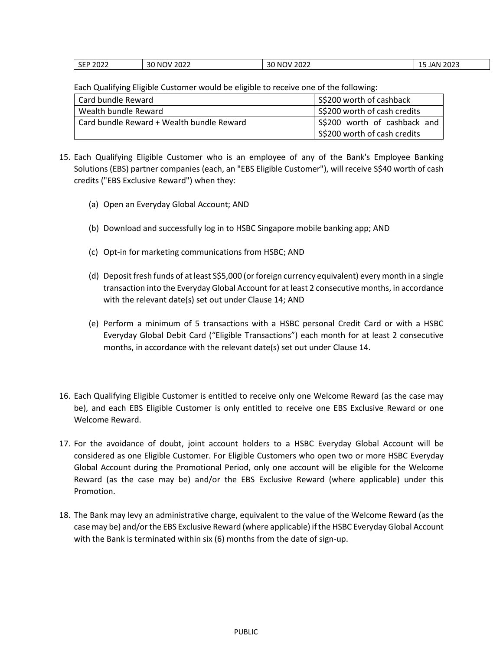| -<br>N)<br>ZUZ3<br>ے ل<br>JU<br>$\mathbf{v}$<br>--<br>______<br>______<br>________ | SEP 2022 | 2022<br><b>NOV</b> | 2022<br>ה ה<br>'ባ\/ | ברחר<br>۰۸N |
|------------------------------------------------------------------------------------|----------|--------------------|---------------------|-------------|
|------------------------------------------------------------------------------------|----------|--------------------|---------------------|-------------|

Each Qualifying Eligible Customer would be eligible to receive one of the following:

| Card bundle Reward                        | S\$200 worth of cashback     |  |
|-------------------------------------------|------------------------------|--|
| Wealth bundle Reward                      | S\$200 worth of cash credits |  |
| Card bundle Reward + Wealth bundle Reward | S\$200 worth of cashback and |  |
|                                           | S\$200 worth of cash credits |  |

- 15. Each Qualifying Eligible Customer who is an employee of any of the Bank's Employee Banking Solutions (EBS) partner companies (each, an "EBS Eligible Customer"), will receive S\$40 worth of cash credits ("EBS Exclusive Reward") when they:
	- (a) Open an Everyday Global Account; AND
	- (b) Download and successfully log in to HSBC Singapore mobile banking app; AND
	- (c) Opt-in for marketing communications from HSBC; AND
	- (d) Deposit fresh funds of at least S\$5,000 (or foreign currency equivalent) every month in a single transaction into the Everyday Global Account for at least 2 consecutive months, in accordance with the relevant date(s) set out under Clause 14; AND
	- (e) Perform a minimum of 5 transactions with a HSBC personal Credit Card or with a HSBC Everyday Global Debit Card ("Eligible Transactions") each month for at least 2 consecutive months, in accordance with the relevant date(s) set out under Clause 14.
- 16. Each Qualifying Eligible Customer is entitled to receive only one Welcome Reward (as the case may be), and each EBS Eligible Customer is only entitled to receive one EBS Exclusive Reward or one Welcome Reward.
- 17. For the avoidance of doubt, joint account holders to a HSBC Everyday Global Account will be considered as one Eligible Customer. For Eligible Customers who open two or more HSBC Everyday Global Account during the Promotional Period, only one account will be eligible for the Welcome Reward (as the case may be) and/or the EBS Exclusive Reward (where applicable) under this Promotion.
- 18. The Bank may levy an administrative charge, equivalent to the value of the Welcome Reward (as the case may be) and/or the EBS Exclusive Reward (where applicable) if the HSBC Everyday Global Account with the Bank is terminated within six (6) months from the date of sign-up.